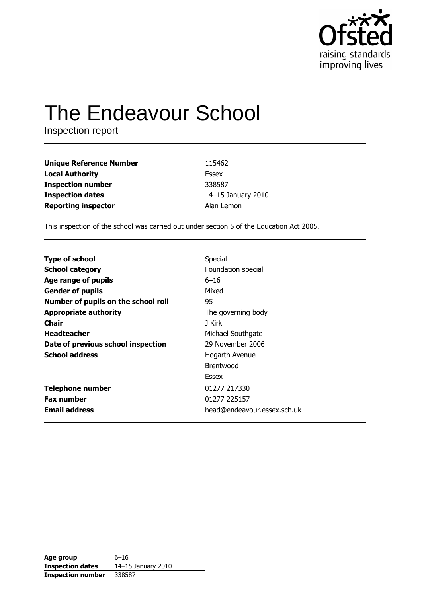

# **The Endeavour School**

Inspection report

| <b>Unique Reference Number</b> | 115462             |
|--------------------------------|--------------------|
| <b>Local Authority</b>         | Essex              |
| <b>Inspection number</b>       | 338587             |
| <b>Inspection dates</b>        | 14-15 January 2010 |
| <b>Reporting inspector</b>     | Alan Lemon         |

This inspection of the school was carried out under section 5 of the Education Act 2005.

| Special                     |
|-----------------------------|
| Foundation special          |
| $6 - 16$                    |
| Mixed                       |
| 95                          |
| The governing body          |
| J Kirk                      |
| Michael Southgate           |
| 29 November 2006            |
| Hogarth Avenue              |
| <b>Brentwood</b>            |
| Essex                       |
| 01277 217330                |
| 01277 225157                |
| head@endeavour.essex.sch.uk |
|                             |

| Age group                | 6–16               |
|--------------------------|--------------------|
| <b>Inspection dates</b>  | 14-15 January 2010 |
| <b>Inspection number</b> | 338587             |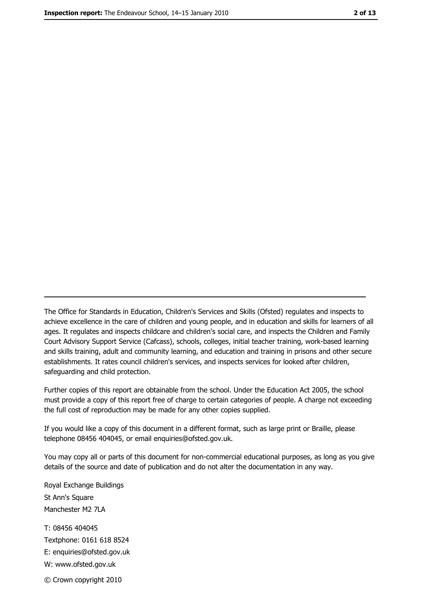The Office for Standards in Education, Children's Services and Skills (Ofsted) regulates and inspects to achieve excellence in the care of children and young people, and in education and skills for learners of all ages. It regulates and inspects childcare and children's social care, and inspects the Children and Family Court Advisory Support Service (Cafcass), schools, colleges, initial teacher training, work-based learning and skills training, adult and community learning, and education and training in prisons and other secure establishments. It rates council children's services, and inspects services for looked after children, safequarding and child protection.

Further copies of this report are obtainable from the school. Under the Education Act 2005, the school must provide a copy of this report free of charge to certain categories of people. A charge not exceeding the full cost of reproduction may be made for any other copies supplied.

If you would like a copy of this document in a different format, such as large print or Braille, please telephone 08456 404045, or email enquiries@ofsted.gov.uk.

You may copy all or parts of this document for non-commercial educational purposes, as long as you give details of the source and date of publication and do not alter the documentation in any way.

Royal Exchange Buildings St Ann's Square Manchester M2 7LA T: 08456 404045 Textphone: 0161 618 8524 E: enquiries@ofsted.gov.uk W: www.ofsted.gov.uk © Crown copyright 2010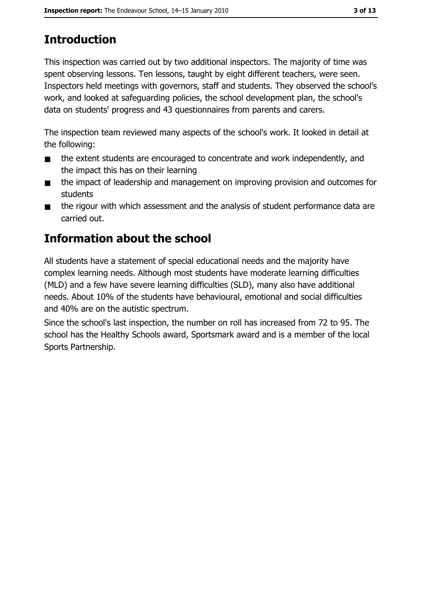## **Introduction**

This inspection was carried out by two additional inspectors. The majority of time was spent observing lessons. Ten lessons, taught by eight different teachers, were seen. Inspectors held meetings with governors, staff and students. They observed the school's work, and looked at safeguarding policies, the school development plan, the school's data on students' progress and 43 questionnaires from parents and carers.

The inspection team reviewed many aspects of the school's work. It looked in detail at the following:

- the extent students are encouraged to concentrate and work independently, and  $\blacksquare$ the impact this has on their learning
- the impact of leadership and management on improving provision and outcomes for  $\blacksquare$ students
- the rigour with which assessment and the analysis of student performance data are  $\blacksquare$ carried out.

## Information about the school

All students have a statement of special educational needs and the majority have complex learning needs. Although most students have moderate learning difficulties (MLD) and a few have severe learning difficulties (SLD), many also have additional needs. About 10% of the students have behavioural, emotional and social difficulties and 40% are on the autistic spectrum.

Since the school's last inspection, the number on roll has increased from 72 to 95. The school has the Healthy Schools award, Sportsmark award and is a member of the local Sports Partnership.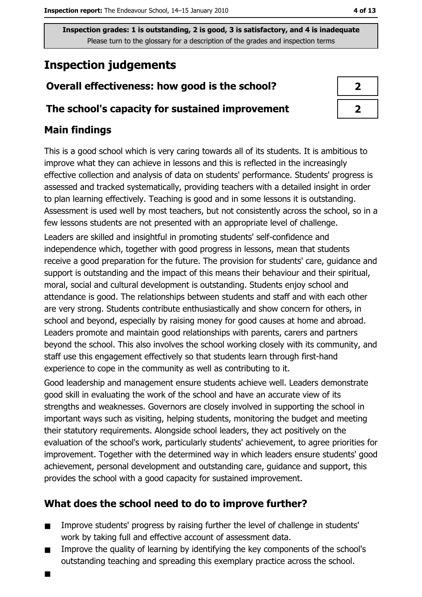## **Inspection judgements**

### Overall effectiveness: how good is the school?

#### The school's capacity for sustained improvement

#### **Main findings**

 $\blacksquare$ 

This is a good school which is very caring towards all of its students. It is ambitious to improve what they can achieve in lessons and this is reflected in the increasingly effective collection and analysis of data on students' performance. Students' progress is assessed and tracked systematically, providing teachers with a detailed insight in order to plan learning effectively. Teaching is good and in some lessons it is outstanding. Assessment is used well by most teachers, but not consistently across the school, so in a few lessons students are not presented with an appropriate level of challenge.

Leaders are skilled and insightful in promoting students' self-confidence and independence which, together with good progress in lessons, mean that students receive a good preparation for the future. The provision for students' care, guidance and support is outstanding and the impact of this means their behaviour and their spiritual, moral, social and cultural development is outstanding. Students enjoy school and attendance is good. The relationships between students and staff and with each other are very strong. Students contribute enthusiastically and show concern for others, in school and beyond, especially by raising money for good causes at home and abroad. Leaders promote and maintain good relationships with parents, carers and partners beyond the school. This also involves the school working closely with its community, and staff use this engagement effectively so that students learn through first-hand experience to cope in the community as well as contributing to it.

Good leadership and management ensure students achieve well. Leaders demonstrate good skill in evaluating the work of the school and have an accurate view of its strengths and weaknesses. Governors are closely involved in supporting the school in important ways such as visiting, helping students, monitoring the budget and meeting their statutory requirements. Alongside school leaders, they act positively on the evaluation of the school's work, particularly students' achievement, to agree priorities for improvement. Together with the determined way in which leaders ensure students' good achievement, personal development and outstanding care, guidance and support, this provides the school with a good capacity for sustained improvement.

#### What does the school need to do to improve further?

- Improve students' progress by raising further the level of challenge in students'  $\blacksquare$ work by taking full and effective account of assessment data.
- Improve the quality of learning by identifying the key components of the school's  $\blacksquare$ outstanding teaching and spreading this exemplary practice across the school.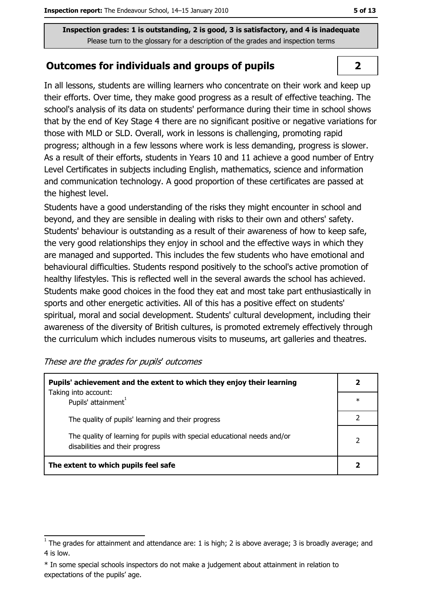#### **Outcomes for individuals and groups of pupils**

In all lessons, students are willing learners who concentrate on their work and keep up their efforts. Over time, they make good progress as a result of effective teaching. The school's analysis of its data on students' performance during their time in school shows that by the end of Key Stage 4 there are no significant positive or negative variations for those with MLD or SLD. Overall, work in lessons is challenging, promoting rapid progress: although in a few lessons where work is less demanding, progress is slower. As a result of their efforts, students in Years 10 and 11 achieve a good number of Entry Level Certificates in subjects including English, mathematics, science and information and communication technology. A good proportion of these certificates are passed at the highest level.

Students have a good understanding of the risks they might encounter in school and beyond, and they are sensible in dealing with risks to their own and others' safety. Students' behaviour is outstanding as a result of their awareness of how to keep safe, the very good relationships they enjoy in school and the effective ways in which they are managed and supported. This includes the few students who have emotional and behavioural difficulties. Students respond positively to the school's active promotion of healthy lifestyles. This is reflected well in the several awards the school has achieved. Students make good choices in the food they eat and most take part enthusiastically in sports and other energetic activities. All of this has a positive effect on students' spiritual, moral and social development. Students' cultural development, including their awareness of the diversity of British cultures, is promoted extremely effectively through the curriculum which includes numerous visits to museums, art galleries and theatres.

| These are the grades for pupils' outcomes |  |  |  |
|-------------------------------------------|--|--|--|
|-------------------------------------------|--|--|--|

| Pupils' achievement and the extent to which they enjoy their learning                                       |        |  |
|-------------------------------------------------------------------------------------------------------------|--------|--|
| Taking into account:<br>Pupils' attainment <sup>1</sup>                                                     | $\ast$ |  |
| The quality of pupils' learning and their progress                                                          |        |  |
| The quality of learning for pupils with special educational needs and/or<br>disabilities and their progress | 2      |  |
| The extent to which pupils feel safe                                                                        |        |  |

 $\overline{2}$ 

 $\overline{1}$  The grades for attainment and attendance are: 1 is high; 2 is above average; 3 is broadly average; and 4 is low.

<sup>\*</sup> In some special schools inspectors do not make a judgement about attainment in relation to expectations of the pupils' age.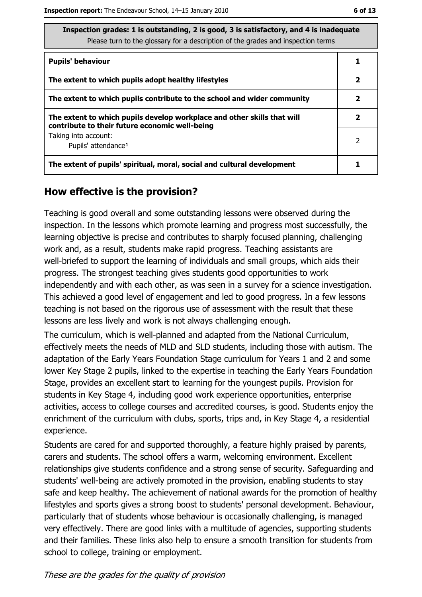| <b>Pupils' behaviour</b>                                                                                                  |   |
|---------------------------------------------------------------------------------------------------------------------------|---|
| The extent to which pupils adopt healthy lifestyles                                                                       | 2 |
| The extent to which pupils contribute to the school and wider community                                                   | 2 |
| The extent to which pupils develop workplace and other skills that will<br>contribute to their future economic well-being | 2 |
| Taking into account:<br>Pupils' attendance <sup>1</sup>                                                                   | 2 |
| The extent of pupils' spiritual, moral, social and cultural development                                                   |   |

#### How effective is the provision?

Teaching is good overall and some outstanding lessons were observed during the inspection. In the lessons which promote learning and progress most successfully, the learning objective is precise and contributes to sharply focused planning, challenging work and, as a result, students make rapid progress. Teaching assistants are well-briefed to support the learning of individuals and small groups, which aids their progress. The strongest teaching gives students good opportunities to work independently and with each other, as was seen in a survey for a science investigation. This achieved a good level of engagement and led to good progress. In a few lessons teaching is not based on the rigorous use of assessment with the result that these lessons are less lively and work is not always challenging enough.

The curriculum, which is well-planned and adapted from the National Curriculum, effectively meets the needs of MLD and SLD students, including those with autism. The adaptation of the Early Years Foundation Stage curriculum for Years 1 and 2 and some lower Key Stage 2 pupils, linked to the expertise in teaching the Early Years Foundation Stage, provides an excellent start to learning for the youngest pupils. Provision for students in Key Stage 4, including good work experience opportunities, enterprise activities, access to college courses and accredited courses, is good. Students enjoy the enrichment of the curriculum with clubs, sports, trips and, in Key Stage 4, a residential experience.

Students are cared for and supported thoroughly, a feature highly praised by parents, carers and students. The school offers a warm, welcoming environment. Excellent relationships give students confidence and a strong sense of security. Safeguarding and students' well-being are actively promoted in the provision, enabling students to stay safe and keep healthy. The achievement of national awards for the promotion of healthy lifestyles and sports gives a strong boost to students' personal development. Behaviour, particularly that of students whose behaviour is occasionally challenging, is managed very effectively. There are good links with a multitude of agencies, supporting students and their families. These links also help to ensure a smooth transition for students from school to college, training or employment.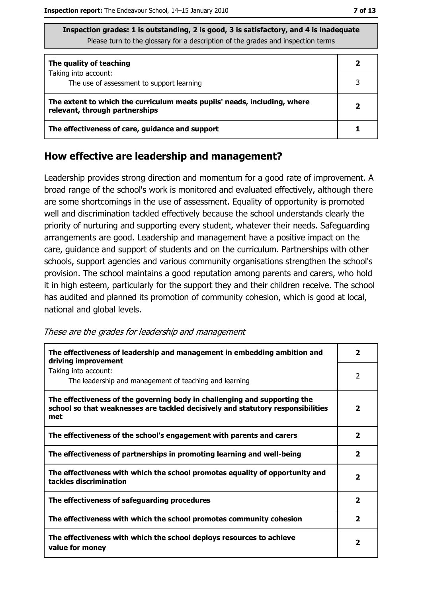| Inspection grades: 1 is outstanding, 2 is good, 3 is satisfactory, and 4 is inadequate |
|----------------------------------------------------------------------------------------|
| Please turn to the glossary for a description of the grades and inspection terms       |

| The quality of teaching                                                                                    |  |
|------------------------------------------------------------------------------------------------------------|--|
| Taking into account:<br>The use of assessment to support learning                                          |  |
| The extent to which the curriculum meets pupils' needs, including, where<br>relevant, through partnerships |  |
| The effectiveness of care, guidance and support                                                            |  |

#### How effective are leadership and management?

Leadership provides strong direction and momentum for a good rate of improvement. A broad range of the school's work is monitored and evaluated effectively, although there are some shortcomings in the use of assessment. Equality of opportunity is promoted well and discrimination tackled effectively because the school understands clearly the priority of nurturing and supporting every student, whatever their needs. Safeguarding arrangements are good. Leadership and management have a positive impact on the care, guidance and support of students and on the curriculum. Partnerships with other schools, support agencies and various community organisations strengthen the school's provision. The school maintains a good reputation among parents and carers, who hold it in high esteem, particularly for the support they and their children receive. The school has audited and planned its promotion of community cohesion, which is good at local, national and global levels.

These are the grades for leadership and management

| The effectiveness of leadership and management in embedding ambition and<br>driving improvement                                                                     |                         |
|---------------------------------------------------------------------------------------------------------------------------------------------------------------------|-------------------------|
| Taking into account:<br>The leadership and management of teaching and learning                                                                                      | 2                       |
| The effectiveness of the governing body in challenging and supporting the<br>school so that weaknesses are tackled decisively and statutory responsibilities<br>met | $\mathbf{2}$            |
| The effectiveness of the school's engagement with parents and carers                                                                                                | $\overline{\mathbf{2}}$ |
| The effectiveness of partnerships in promoting learning and well-being                                                                                              | $\mathbf{2}$            |
| The effectiveness with which the school promotes equality of opportunity and<br>tackles discrimination                                                              | $\overline{\mathbf{2}}$ |
| The effectiveness of safeguarding procedures                                                                                                                        | $\overline{\mathbf{2}}$ |
| The effectiveness with which the school promotes community cohesion                                                                                                 | $\overline{\mathbf{2}}$ |
| The effectiveness with which the school deploys resources to achieve<br>value for money                                                                             | 2                       |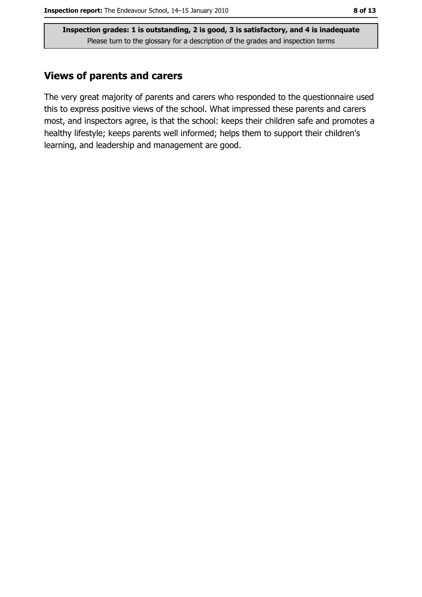#### **Views of parents and carers**

The very great majority of parents and carers who responded to the questionnaire used this to express positive views of the school. What impressed these parents and carers most, and inspectors agree, is that the school: keeps their children safe and promotes a healthy lifestyle; keeps parents well informed; helps them to support their children's learning, and leadership and management are good.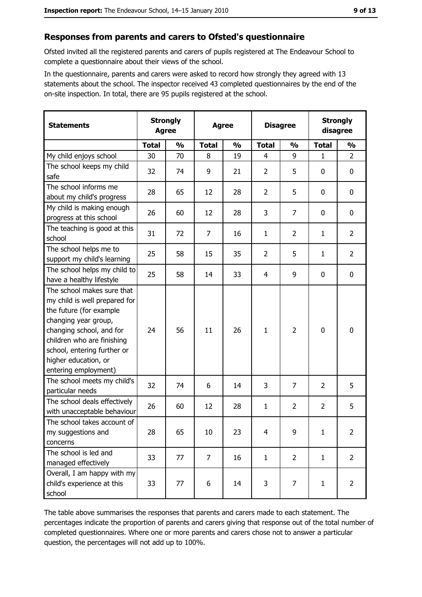#### Responses from parents and carers to Ofsted's questionnaire

Ofsted invited all the registered parents and carers of pupils registered at The Endeavour School to complete a questionnaire about their views of the school.

In the questionnaire, parents and carers were asked to record how strongly they agreed with 13 statements about the school. The inspector received 43 completed questionnaires by the end of the on-site inspection. In total, there are 95 pupils registered at the school.

| <b>Statements</b>                                                                                                                                                                                                                                       |              | <b>Strongly</b><br><b>Agree</b> | <b>Agree</b> |               | <b>Disagree</b> |                | <b>Strongly</b><br>disagree |                |
|---------------------------------------------------------------------------------------------------------------------------------------------------------------------------------------------------------------------------------------------------------|--------------|---------------------------------|--------------|---------------|-----------------|----------------|-----------------------------|----------------|
|                                                                                                                                                                                                                                                         | <b>Total</b> | $\frac{0}{0}$                   | <b>Total</b> | $\frac{0}{0}$ | <b>Total</b>    | $\frac{0}{0}$  | <b>Total</b>                | $\frac{0}{0}$  |
| My child enjoys school                                                                                                                                                                                                                                  | 30           | 70                              | 8            | 19            | 4               | 9              | $\mathbf{1}$                | $\overline{2}$ |
| The school keeps my child<br>safe                                                                                                                                                                                                                       | 32           | 74                              | 9            | 21            | $\overline{2}$  | 5              | 0                           | 0              |
| The school informs me<br>about my child's progress                                                                                                                                                                                                      | 28           | 65                              | 12           | 28            | $\overline{2}$  | 5              | 0                           | 0              |
| My child is making enough<br>progress at this school                                                                                                                                                                                                    | 26           | 60                              | 12           | 28            | 3               | $\overline{7}$ | 0                           | 0              |
| The teaching is good at this<br>school                                                                                                                                                                                                                  | 31           | 72                              | 7            | 16            | 1               | $\overline{2}$ | $\mathbf{1}$                | $\overline{2}$ |
| The school helps me to<br>support my child's learning                                                                                                                                                                                                   | 25           | 58                              | 15           | 35            | $\overline{2}$  | 5              | $\mathbf{1}$                | $\overline{2}$ |
| The school helps my child to<br>have a healthy lifestyle                                                                                                                                                                                                | 25           | 58                              | 14           | 33            | 4               | 9              | 0                           | 0              |
| The school makes sure that<br>my child is well prepared for<br>the future (for example<br>changing year group,<br>changing school, and for<br>children who are finishing<br>school, entering further or<br>higher education, or<br>entering employment) | 24           | 56                              | 11           | 26            | $\mathbf{1}$    | $\overline{2}$ | 0                           | 0              |
| The school meets my child's<br>particular needs                                                                                                                                                                                                         | 32           | 74                              | 6            | 14            | 3               | $\overline{7}$ | $\overline{2}$              | 5              |
| The school deals effectively<br>with unacceptable behaviour                                                                                                                                                                                             | 26           | 60                              | 12           | 28            | $\mathbf{1}$    | $\overline{2}$ | $\overline{2}$              | 5              |
| The school takes account of<br>my suggestions and<br>concerns                                                                                                                                                                                           | 28           | 65                              | 10           | 23            | $\overline{4}$  | 9              | $\mathbf{1}$                | $\overline{2}$ |
| The school is led and<br>managed effectively                                                                                                                                                                                                            | 33           | 77                              | 7            | 16            | $\mathbf{1}$    | $\overline{2}$ | $\mathbf{1}$                | $\overline{2}$ |
| Overall, I am happy with my<br>child's experience at this<br>school                                                                                                                                                                                     | 33           | 77                              | 6            | 14            | 3               | 7              | 1                           | $\overline{2}$ |

The table above summarises the responses that parents and carers made to each statement. The percentages indicate the proportion of parents and carers giving that response out of the total number of completed questionnaires. Where one or more parents and carers chose not to answer a particular question, the percentages will not add up to 100%.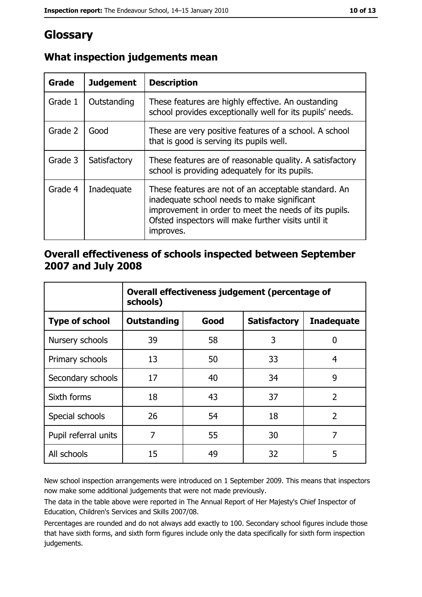## Glossary

| Grade   | <b>Judgement</b> | <b>Description</b>                                                                                                                                                                                                               |
|---------|------------------|----------------------------------------------------------------------------------------------------------------------------------------------------------------------------------------------------------------------------------|
| Grade 1 | Outstanding      | These features are highly effective. An oustanding<br>school provides exceptionally well for its pupils' needs.                                                                                                                  |
| Grade 2 | Good             | These are very positive features of a school. A school<br>that is good is serving its pupils well.                                                                                                                               |
| Grade 3 | Satisfactory     | These features are of reasonable quality. A satisfactory<br>school is providing adequately for its pupils.                                                                                                                       |
| Grade 4 | Inadequate       | These features are not of an acceptable standard. An<br>inadequate school needs to make significant<br>improvement in order to meet the needs of its pupils.<br>Ofsted inspectors will make further visits until it<br>improves. |

#### What inspection judgements mean

#### Overall effectiveness of schools inspected between September 2007 and July 2008

|                       | Overall effectiveness judgement (percentage of<br>schools) |      |                     |                   |
|-----------------------|------------------------------------------------------------|------|---------------------|-------------------|
| <b>Type of school</b> | <b>Outstanding</b>                                         | Good | <b>Satisfactory</b> | <b>Inadequate</b> |
| Nursery schools       | 39                                                         | 58   | 3                   | 0                 |
| Primary schools       | 13                                                         | 50   | 33                  | 4                 |
| Secondary schools     | 17                                                         | 40   | 34                  | 9                 |
| Sixth forms           | 18                                                         | 43   | 37                  | $\overline{2}$    |
| Special schools       | 26                                                         | 54   | 18                  | $\overline{2}$    |
| Pupil referral units  | 7                                                          | 55   | 30                  | 7                 |
| All schools           | 15                                                         | 49   | 32                  | 5                 |

New school inspection arrangements were introduced on 1 September 2009. This means that inspectors now make some additional judgements that were not made previously.

The data in the table above were reported in The Annual Report of Her Majesty's Chief Inspector of Education, Children's Services and Skills 2007/08.

Percentages are rounded and do not always add exactly to 100. Secondary school figures include those that have sixth forms, and sixth form figures include only the data specifically for sixth form inspection judgements.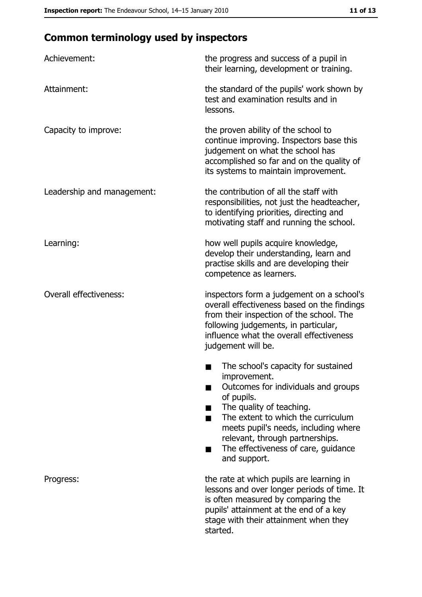## **Common terminology used by inspectors**

| Achievement:                  | the progress and success of a pupil in<br>their learning, development or training.                                                                                                                                                                                                                           |  |  |
|-------------------------------|--------------------------------------------------------------------------------------------------------------------------------------------------------------------------------------------------------------------------------------------------------------------------------------------------------------|--|--|
| Attainment:                   | the standard of the pupils' work shown by<br>test and examination results and in<br>lessons.                                                                                                                                                                                                                 |  |  |
| Capacity to improve:          | the proven ability of the school to<br>continue improving. Inspectors base this<br>judgement on what the school has<br>accomplished so far and on the quality of<br>its systems to maintain improvement.                                                                                                     |  |  |
| Leadership and management:    | the contribution of all the staff with<br>responsibilities, not just the headteacher,<br>to identifying priorities, directing and<br>motivating staff and running the school.                                                                                                                                |  |  |
| Learning:                     | how well pupils acquire knowledge,<br>develop their understanding, learn and<br>practise skills and are developing their<br>competence as learners.                                                                                                                                                          |  |  |
| <b>Overall effectiveness:</b> | inspectors form a judgement on a school's<br>overall effectiveness based on the findings<br>from their inspection of the school. The<br>following judgements, in particular,<br>influence what the overall effectiveness<br>judgement will be.                                                               |  |  |
|                               | The school's capacity for sustained<br>improvement.<br>Outcomes for individuals and groups<br>of pupils.<br>The quality of teaching.<br>The extent to which the curriculum<br>meets pupil's needs, including where<br>relevant, through partnerships.<br>The effectiveness of care, guidance<br>and support. |  |  |
| Progress:                     | the rate at which pupils are learning in<br>lessons and over longer periods of time. It<br>is often measured by comparing the<br>pupils' attainment at the end of a key<br>stage with their attainment when they<br>started.                                                                                 |  |  |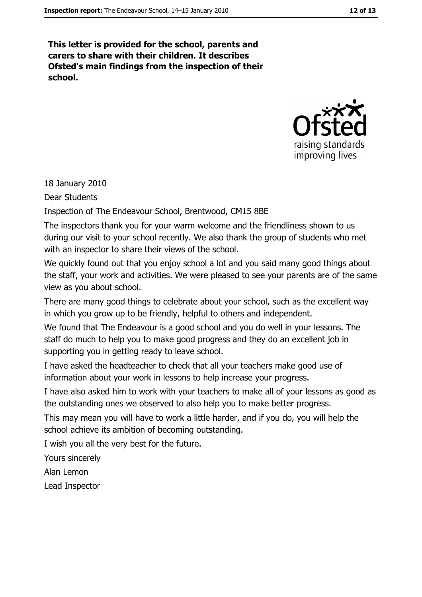This letter is provided for the school, parents and carers to share with their children. It describes Ofsted's main findings from the inspection of their school.



18 January 2010

**Dear Students** 

Inspection of The Endeavour School, Brentwood, CM15 8BE

The inspectors thank you for your warm welcome and the friendliness shown to us during our visit to your school recently. We also thank the group of students who met with an inspector to share their views of the school.

We quickly found out that you enjoy school a lot and you said many good things about the staff, your work and activities. We were pleased to see your parents are of the same view as you about school.

There are many good things to celebrate about your school, such as the excellent way in which you grow up to be friendly, helpful to others and independent.

We found that The Endeavour is a good school and you do well in your lessons. The staff do much to help you to make good progress and they do an excellent job in supporting you in getting ready to leave school.

I have asked the headteacher to check that all your teachers make good use of information about your work in lessons to help increase your progress.

I have also asked him to work with your teachers to make all of your lessons as good as the outstanding ones we observed to also help you to make better progress.

This may mean you will have to work a little harder, and if you do, you will help the school achieve its ambition of becoming outstanding.

I wish you all the very best for the future.

Yours sincerely

Alan Lemon

Lead Inspector